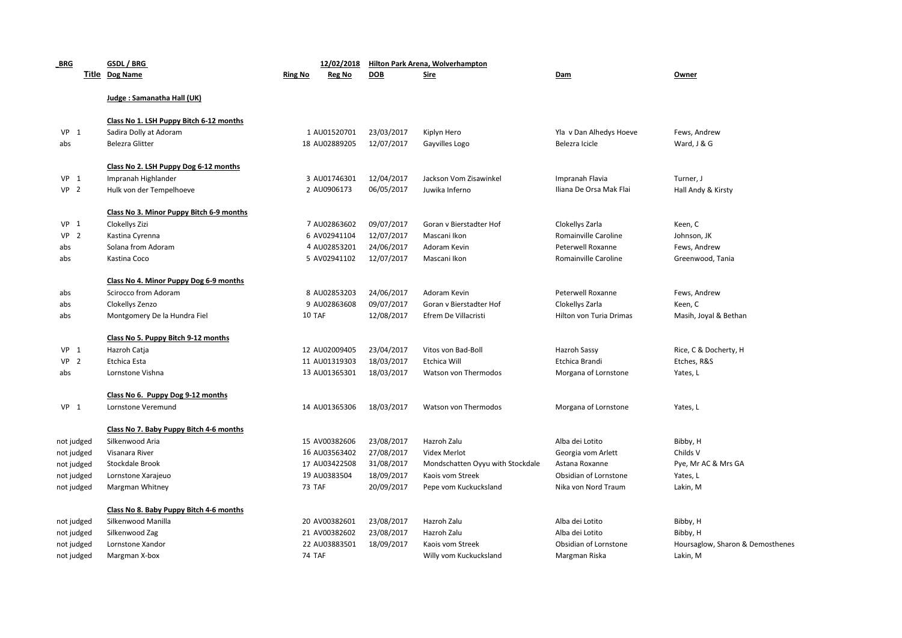| BRG             |  | GSDL / BRG                               | 12/02/2018               |            | Hilton Park Arena, Wolverhampton |                         |                                  |  |  |  |
|-----------------|--|------------------------------------------|--------------------------|------------|----------------------------------|-------------------------|----------------------------------|--|--|--|
|                 |  | Title Dog Name                           | <b>Ring No</b><br>Reg No | <b>DOB</b> | <b>Sire</b>                      | Dam                     | Owner                            |  |  |  |
|                 |  | Judge: Samanatha Hall (UK)               |                          |            |                                  |                         |                                  |  |  |  |
|                 |  | Class No 1. LSH Puppy Bitch 6-12 months  |                          |            |                                  |                         |                                  |  |  |  |
| $VP$ 1          |  | Sadira Dolly at Adoram                   | 1 AU01520701             | 23/03/2017 | Kiplyn Hero                      | Yla v Dan Alhedys Hoeve | Fews, Andrew                     |  |  |  |
| abs             |  | <b>Belezra Glitter</b>                   | 18 AU02889205            | 12/07/2017 | Gayvilles Logo                   | Belezra Icicle          | Ward, J & G                      |  |  |  |
|                 |  | Class No 2. LSH Puppy Dog 6-12 months    |                          |            |                                  |                         |                                  |  |  |  |
| $VP$ 1          |  | Impranah Highlander                      | 3 AU01746301             | 12/04/2017 | Jackson Vom Zisawinkel           | Impranah Flavia         | Turner, J                        |  |  |  |
| VP <sub>2</sub> |  | Hulk von der Tempelhoeve                 | 2 AU0906173              | 06/05/2017 | Juwika Inferno                   | Iliana De Orsa Mak Flai | Hall Andy & Kirsty               |  |  |  |
|                 |  | Class No 3. Minor Puppy Bitch 6-9 months |                          |            |                                  |                         |                                  |  |  |  |
| VP <sub>1</sub> |  | Clokellys Zizi                           | 7 AU02863602             | 09/07/2017 | Goran v Bierstadter Hof          | Clokellys Zarla         | Keen, C                          |  |  |  |
| VP <sub>2</sub> |  | Kastina Cyrenna                          | 6 AV02941104             | 12/07/2017 | Mascani Ikon                     | Romainville Caroline    | Johnson, JK                      |  |  |  |
| abs             |  | Solana from Adoram                       | 4 AU02853201             | 24/06/2017 | Adoram Kevin                     | Peterwell Roxanne       | Fews, Andrew                     |  |  |  |
| abs             |  | Kastina Coco                             | 5 AV02941102             | 12/07/2017 | Mascani Ikon                     | Romainville Caroline    | Greenwood, Tania                 |  |  |  |
|                 |  | Class No 4. Minor Puppy Dog 6-9 months   |                          |            |                                  |                         |                                  |  |  |  |
| abs             |  | Scirocco from Adoram                     | 8 AU02853203             | 24/06/2017 | Adoram Kevin                     | Peterwell Roxanne       | Fews, Andrew                     |  |  |  |
| abs             |  | Clokellys Zenzo                          | 9 AU02863608             | 09/07/2017 | Goran v Bierstadter Hof          | Clokellys Zarla         | Keen, C                          |  |  |  |
| abs             |  | Montgomery De la Hundra Fiel             | 10 TAF                   | 12/08/2017 | Efrem De Villacristi             | Hilton von Turia Drimas | Masih, Joyal & Bethan            |  |  |  |
|                 |  | Class No 5. Puppy Bitch 9-12 months      |                          |            |                                  |                         |                                  |  |  |  |
| $VP$ 1          |  | Hazroh Catja                             | 12 AU02009405            | 23/04/2017 | Vitos von Bad-Boll               | Hazroh Sassy            | Rice, C & Docherty, H            |  |  |  |
| VP <sub>2</sub> |  | Etchica Esta                             | 11 AU01319303            | 18/03/2017 | Etchica Will                     | Etchica Brandi          | Etches, R&S                      |  |  |  |
| abs             |  | Lornstone Vishna                         | 13 AU01365301            | 18/03/2017 | Watson von Thermodos             | Morgana of Lornstone    | Yates, L                         |  |  |  |
|                 |  | Class No 6. Puppy Dog 9-12 months        |                          |            |                                  |                         |                                  |  |  |  |
| VP <sub>1</sub> |  | Lornstone Veremund                       | 14 AU01365306            | 18/03/2017 | Watson von Thermodos             | Morgana of Lornstone    | Yates, L                         |  |  |  |
|                 |  | Class No 7. Baby Puppy Bitch 4-6 months  |                          |            |                                  |                         |                                  |  |  |  |
| not judged      |  | Silkenwood Aria                          | 15 AV00382606            | 23/08/2017 | Hazroh Zalu                      | Alba dei Lotito         | Bibby, H                         |  |  |  |
| not judged      |  | Visanara River                           | 16 AU03563402            | 27/08/2017 | Videx Merlot                     | Georgia vom Arlett      | Childs V                         |  |  |  |
| not judged      |  | Stockdale Brook                          | 17 AU03422508            | 31/08/2017 | Mondschatten Oyyu with Stockdale | Astana Roxanne          | Pye, Mr AC & Mrs GA              |  |  |  |
| not judged      |  | Lornstone Xarajeuo                       | 19 AU0383504             | 18/09/2017 | Kaois vom Streek                 | Obsidian of Lornstone   | Yates, L                         |  |  |  |
| not judged      |  | Margman Whitney                          | 73 TAF                   | 20/09/2017 | Pepe vom Kuckucksland            | Nika von Nord Traum     | Lakin, M                         |  |  |  |
|                 |  | Class No 8. Baby Puppy Bitch 4-6 months  |                          |            |                                  |                         |                                  |  |  |  |
| not judged      |  | Silkenwood Manilla                       | 20 AV00382601            | 23/08/2017 | Hazroh Zalu                      | Alba dei Lotito         | Bibby, H                         |  |  |  |
| not judged      |  | Silkenwood Zag                           | 21 AV00382602            | 23/08/2017 | Hazroh Zalu                      | Alba dei Lotito         | Bibby, H                         |  |  |  |
| not judged      |  | Lornstone Xandor                         | 22 AU03883501            | 18/09/2017 | Kaois vom Streek                 | Obsidian of Lornstone   | Hoursaglow, Sharon & Demosthenes |  |  |  |
| not judged      |  | Margman X-box                            | 74 TAF                   |            | Willy vom Kuckucksland           | Margman Riska           | Lakin, M                         |  |  |  |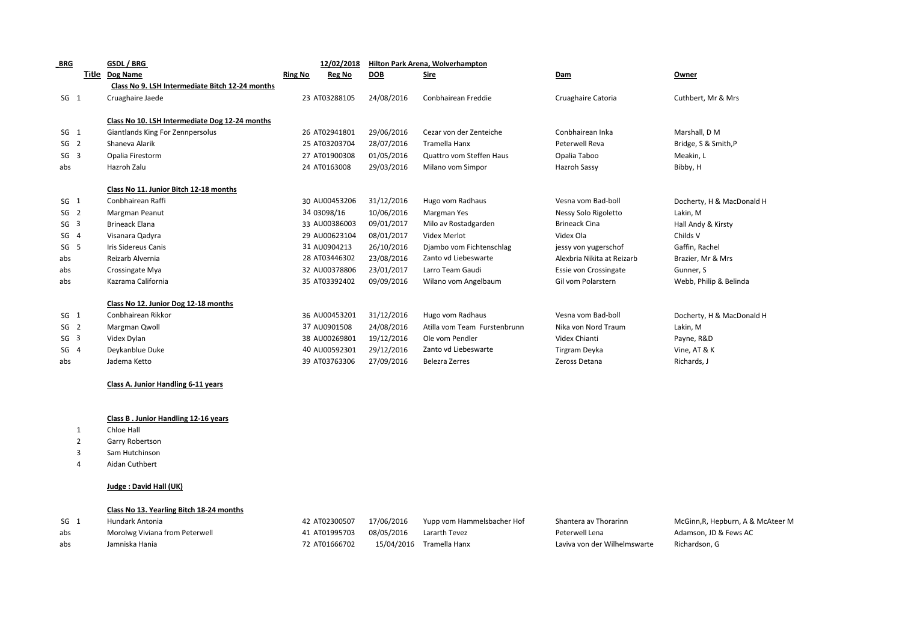| <b>BRG</b>      |       | GSDL / BRG                                      |                | 12/02/2018    | Hilton Park Arena, Wolverhampton |                              |                            |                           |  |
|-----------------|-------|-------------------------------------------------|----------------|---------------|----------------------------------|------------------------------|----------------------------|---------------------------|--|
|                 | Title | Dog Name                                        | <b>Ring No</b> | <b>Reg No</b> | <b>DOB</b>                       | <b>Sire</b>                  | Dam                        | Owner                     |  |
|                 |       | Class No 9. LSH Intermediate Bitch 12-24 months |                |               |                                  |                              |                            |                           |  |
| SG <sub>1</sub> |       | Cruaghaire Jaede                                |                | 23 AT03288105 | 24/08/2016                       | Conbhairean Freddie          | Cruaghaire Catoria         | Cuthbert, Mr & Mrs        |  |
|                 |       |                                                 |                |               |                                  |                              |                            |                           |  |
|                 |       | Class No 10. LSH Intermediate Dog 12-24 months  |                |               |                                  |                              |                            |                           |  |
| SG <sub>1</sub> |       | Giantlands King For Zennpersolus                |                | 26 AT02941801 | 29/06/2016                       | Cezar von der Zenteiche      | Conbhairean Inka           | Marshall, D M             |  |
| SG <sub>2</sub> |       | Shaneva Alarik                                  |                | 25 AT03203704 | 28/07/2016                       | <b>Tramella Hanx</b>         | Peterwell Reva             | Bridge, S & Smith, P      |  |
| SG <sub>3</sub> |       | Opalia Firestorm                                |                | 27 AT01900308 | 01/05/2016                       | Quattro vom Steffen Haus     | Opalia Taboo               | Meakin, L                 |  |
| abs             |       | Hazroh Zalu                                     |                | 24 AT0163008  | 29/03/2016                       | Milano vom Simpor            | Hazroh Sassy               | Bibby, H                  |  |
|                 |       | Class No 11. Junior Bitch 12-18 months          |                |               |                                  |                              |                            |                           |  |
| SG <sub>1</sub> |       | Conbhairean Raffi                               |                | 30 AU00453206 | 31/12/2016                       | Hugo vom Radhaus             | Vesna vom Bad-boll         | Docherty, H & MacDonald H |  |
| SG <sub>2</sub> |       | Margman Peanut                                  |                | 34 03098/16   | 10/06/2016                       | Margman Yes                  | Nessy Solo Rigoletto       | Lakin, M                  |  |
| SG <sub>3</sub> |       | <b>Brineack Elana</b>                           |                | 33 AU00386003 | 09/01/2017                       | Milo av Rostadgarden         | <b>Brineack Cina</b>       | Hall Andy & Kirsty        |  |
| SG <sub>4</sub> |       | Visanara Qadyra                                 |                | 29 AU00623104 | 08/01/2017                       | Videx Merlot                 | Videx Ola                  | Childs V                  |  |
| SG <sub>5</sub> |       | Iris Sidereus Canis                             |                | 31 AU0904213  | 26/10/2016                       | Djambo vom Fichtenschlag     | jessy von yugerschof       | Gaffin, Rachel            |  |
| abs             |       | Reizarb Alvernia                                |                | 28 AT03446302 | 23/08/2016                       | Zanto vd Liebeswarte         | Alexbria Nikita at Reizarb | Brazier, Mr & Mrs         |  |
| abs             |       | Crossingate Mya                                 |                | 32 AU00378806 | 23/01/2017                       | Larro Team Gaudi             | Essie von Crossingate      | Gunner, S                 |  |
| abs             |       | Kazrama California                              |                | 35 AT03392402 | 09/09/2016                       | Wilano vom Angelbaum         | Gil vom Polarstern         | Webb, Philip & Belinda    |  |
|                 |       | Class No 12. Junior Dog 12-18 months            |                |               |                                  |                              |                            |                           |  |
| SG <sub>1</sub> |       | Conbhairean Rikkor                              |                | 36 AU00453201 | 31/12/2016                       | Hugo vom Radhaus             | Vesna vom Bad-boll         | Docherty, H & MacDonald H |  |
| SG <sub>2</sub> |       | Margman Qwoll                                   |                | 37 AU0901508  | 24/08/2016                       | Atilla vom Team Furstenbrunn | Nika von Nord Traum        | Lakin, M                  |  |
| SG <sub>3</sub> |       | Videx Dylan                                     |                | 38 AU00269801 | 19/12/2016                       | Ole vom Pendler              | Videx Chianti              | Payne, R&D                |  |
| SG <sub>4</sub> |       | Deykanblue Duke                                 |                | 40 AU00592301 | 29/12/2016                       | Zanto vd Liebeswarte         | Tirgram Deyka              | Vine, AT & K              |  |
| abs             |       | Jadema Ketto                                    |                | 39 AT03763306 | 27/09/2016                       | Belezra Zerres               | Zeross Detana              | Richards, J               |  |
|                 |       |                                                 |                |               |                                  |                              |                            |                           |  |

## **Class A. Junior Handling 6-11 years**

## **Class B . Junior Handling 12-16 years**

- 1 Chloe Hall
- 2 Garry Robertson
- 3 Sam Hutchinson
- 4 Aidan Cuthbert

## **Judge : David Hall (UK)**

## **Class No 13. Yearling Bitch 18-24 months**

| SG <sub>1</sub> | Hundark Antonia                | 42 AT02300507            | 17/06/2016 | Yupp vom Hammelsbacher Hof | Shantera av Thorarinn        | McGinn, R, Hepburn, A & McAteer M |
|-----------------|--------------------------------|--------------------------|------------|----------------------------|------------------------------|-----------------------------------|
| abs             | Morolwg Viviana from Peterwell | 41 AT01995703 08/05/2016 |            | Lararth Tevez              | Peterwell Lena               | Adamson. JD & Fews AC             |
| abs             | Jamniska Hania                 | 72 AT01666702            |            | 15/04/2016 Tramella Hanx   | Laviva von der Wilhelmswarte | Richardson. G                     |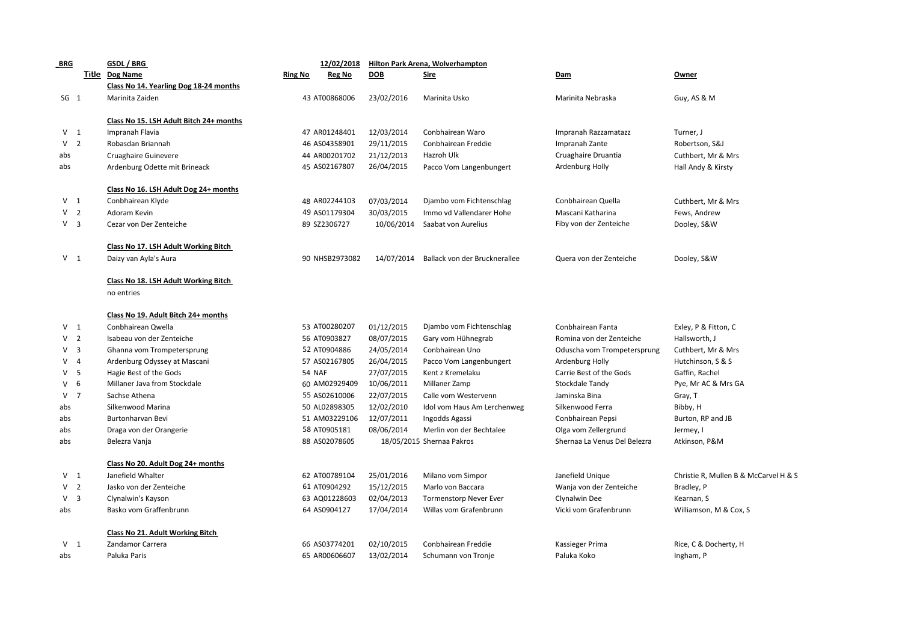| <b>BRG</b>      | GSDL / BRG                                         |                | 12/02/2018     |            | Hilton Park Arena, Wolverhampton |                              |                                       |
|-----------------|----------------------------------------------------|----------------|----------------|------------|----------------------------------|------------------------------|---------------------------------------|
|                 | Title Dog Name                                     | <b>Ring No</b> | Reg No         | <b>DOB</b> | <u>Sire</u>                      | Dam                          | Owner                                 |
|                 | Class No 14. Yearling Dog 18-24 months             |                |                |            |                                  |                              |                                       |
| SG <sub>1</sub> | Marinita Zaiden                                    |                | 43 AT00868006  | 23/02/2016 | Marinita Usko                    | Marinita Nebraska            | Guy, AS & M                           |
|                 | Class No 15. LSH Adult Bitch 24+ months            |                |                |            |                                  |                              |                                       |
| V <sub>1</sub>  | Impranah Flavia                                    |                | 47 AR01248401  | 12/03/2014 | Conbhairean Waro                 | Impranah Razzamatazz         | Turner, J                             |
| V <sub>2</sub>  | Robasdan Briannah                                  |                | 46 AS04358901  | 29/11/2015 | Conbhairean Freddie              | Impranah Zante               | Robertson, S&J                        |
| abs             | Cruaghaire Guinevere                               |                | 44 AR00201702  | 21/12/2013 | Hazroh Ulk                       | Cruaghaire Druantia          | Cuthbert, Mr & Mrs                    |
| abs             | Ardenburg Odette mit Brineack                      |                | 45 AS02167807  | 26/04/2015 | Pacco Vom Langenbungert          | Ardenburg Holly              | Hall Andy & Kirsty                    |
|                 | Class No 16. LSH Adult Dog 24+ months              |                |                |            |                                  |                              |                                       |
| V <sub>1</sub>  | Conbhairean Klyde                                  |                | 48 AR02244103  | 07/03/2014 | Djambo vom Fichtenschlag         | Conbhairean Quella           | Cuthbert, Mr & Mrs                    |
| V <sub>2</sub>  | Adoram Kevin                                       |                | 49 AS01179304  | 30/03/2015 | Immo vd Vallendarer Hohe         | Mascani Katharina            | Fews, Andrew                          |
| V <sub>3</sub>  | Cezar von Der Zenteiche                            |                | 89 SZ2306727   | 10/06/2014 | Saabat von Aurelius              | Fiby von der Zenteiche       | Dooley, S&W                           |
|                 | Class No 17. LSH Adult Working Bitch               |                |                |            |                                  |                              |                                       |
| V <sub>1</sub>  | Daizy van Ayla's Aura                              |                | 90 NHSB2973082 | 14/07/2014 | Ballack von der Brucknerallee    | Quera von der Zenteiche      | Dooley, S&W                           |
|                 | Class No 18. LSH Adult Working Bitch<br>no entries |                |                |            |                                  |                              |                                       |
|                 | Class No 19. Adult Bitch 24+ months                |                |                |            |                                  |                              |                                       |
| V <sub>1</sub>  | Conbhairean Owella                                 |                | 53 AT00280207  | 01/12/2015 | Djambo vom Fichtenschlag         | Conbhairean Fanta            | Exley, P & Fitton, C                  |
| V <sub>2</sub>  | Isabeau von der Zenteiche                          |                | 56 AT0903827   | 08/07/2015 | Gary vom Hühnegrab               | Romina von der Zenteiche     | Hallsworth, J                         |
| V <sub>3</sub>  | Ghanna vom Trompetersprung                         |                | 52 AT0904886   | 24/05/2014 | Conbhairean Uno                  | Oduscha vom Trompetersprung  | Cuthbert, Mr & Mrs                    |
| $V$ 4           | Ardenburg Odyssey at Mascani                       |                | 57 AS02167805  | 26/04/2015 | Pacco Vom Langenbungert          | Ardenburg Holly              | Hutchinson, S & S                     |
| V <sub>5</sub>  | Hagie Best of the Gods                             | 54 NAF         |                | 27/07/2015 | Kent z Kremelaku                 | Carrie Best of the Gods      | Gaffin, Rachel                        |
| $V$ 6           | Millaner Java from Stockdale                       |                | 60 AM02929409  | 10/06/2011 | Millaner Zamp                    | Stockdale Tandy              | Pye, Mr AC & Mrs GA                   |
| V <sub>7</sub>  | Sachse Athena                                      |                | 55 AS02610006  | 22/07/2015 | Calle vom Westervenn             | Jaminska Bina                | Gray, T                               |
| abs             | Silkenwood Marina                                  |                | 50 AL02898305  | 12/02/2010 | Idol vom Haus Am Lerchenweg      | Silkenwood Ferra             | Bibby, H                              |
| abs             | Burtonharvan Bevi                                  |                | 51 AM03229106  | 12/07/2011 | Ingodds Agassi                   | Conbhairean Pepsi            | Burton, RP and JB                     |
| abs             | Draga von der Orangerie                            |                | 58 AT0905181   | 08/06/2014 | Merlin von der Bechtalee         | Olga vom Zellergrund         | Jermey, I                             |
| abs             | Belezra Vanja                                      |                | 88 AS02078605  |            | 18/05/2015 Shernaa Pakros        | Shernaa La Venus Del Belezra | Atkinson, P&M                         |
|                 | Class No 20. Adult Dog 24+ months                  |                |                |            |                                  |                              |                                       |
| V <sub>1</sub>  | Janefield Whalter                                  |                | 62 AT00789104  | 25/01/2016 | Milano vom Simpor                | Janefield Unique             | Christie R, Mullen B & McCarvel H & S |
| V <sub>2</sub>  | Jasko von der Zenteiche                            |                | 61 AT0904292   | 15/12/2015 | Marlo von Baccara                | Wanja von der Zenteiche      | Bradley, P                            |
| V <sub>3</sub>  | Clynalwin's Kayson                                 |                | 63 AQ01228603  | 02/04/2013 | <b>Tormenstorp Never Ever</b>    | Clynalwin Dee                | Kearnan, S                            |
| abs             | Basko vom Graffenbrunn                             |                | 64 AS0904127   | 17/04/2014 | Willas vom Grafenbrunn           | Vicki vom Grafenbrunn        | Williamson, M & Cox, S                |
|                 | Class No 21. Adult Working Bitch                   |                |                |            |                                  |                              |                                       |
| V <sub>1</sub>  | Zandamor Carrera                                   |                | 66 AS03774201  | 02/10/2015 | Conbhairean Freddie              | Kassieger Prima              | Rice, C & Docherty, H                 |
| abs             | Paluka Paris                                       |                | 65 AR00606607  | 13/02/2014 | Schumann von Tronje              | Paluka Koko                  | Ingham, P                             |
|                 |                                                    |                |                |            |                                  |                              |                                       |